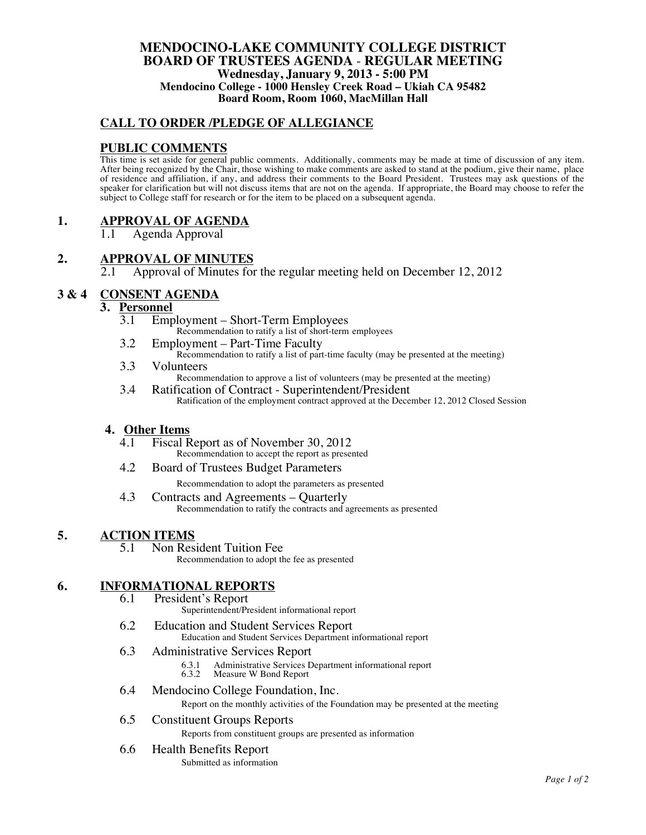### **MENDOCINO-LAKE COMMUNITY COLLEGE DISTRICT BOARD OF TRUSTEES AGENDA** - **REGULAR MEETING Wednesday, January 9, 2013 - 5:00 PM Mendocino College - 1000 Hensley Creek Road – Ukiah CA 95482 Board Room, Room 1060, MacMillan Hall**

# **CALL TO ORDER /PLEDGE OF ALLEGIANCE**

# **PUBLIC COMMENTS**

This time is set aside for general public comments. Additionally, comments may be made at time of discussion of any item. After being recognized by the Chair, those wishing to make comments are asked to stand at the podium, give their name, place of residence and affiliation, if any, and address their comments to the Board President. Trustees may ask questions of the speaker for clarification but will not discuss items that are not on the agenda. If appropriate, the Board may choose to refer the subject to College staff for research or for the item to be placed on a subsequent agenda.

# **1. APPROVAL OF AGENDA**

1.1 Agenda Approval

# 2. **APPROVAL OF MINUTES**<br>2.1 **Approval of Minutes for**

2.1 Approval of Minutes for the regular meeting held on December 12, 2012

# **3 & 4 CONSENT AGENDA**

## **3. Personnel**

- 3.1 Employment Short-Term Employees Recommendation to ratify a list of short-term employees
- 3.2 Employment Part-Time Faculty Recommendation to ratify a list of part-time faculty (may be presented at the meeting)
- 3.3 Volunteers Recommendation to approve a list of volunteers (may be presented at the meeting)
- 3.4 Ratification of Contract Superintendent/President Ratification of the employment contract approved at the December 12, 2012 Closed Session

#### **4. Other Items**

- 4.1 Fiscal Report as of November 30, 2012 Recommendation to accept the report as presented
- 4.2 Board of Trustees Budget Parameters Recommendation to adopt the parameters as presented
- 4.3 Contracts and Agreements Quarterly Recommendation to ratify the contracts and agreements as presented

#### **5. ACTION ITEMS**

5.1 Non Resident Tuition Fee Recommendation to adopt the fee as presented

# **6. INFORMATIONAL REPORTS**<br>6.1 **President's Report**

- President's Report
	- Superintendent/President informational report
- 6.2 Education and Student Services Report Education and Student Services Department informational report

#### 6.3 Administrative Services Report

- 6.3.1 Administrative Services Department informational report
- Measure W Bond Report
- 6.4 Mendocino College Foundation, Inc.

Report on the monthly activities of the Foundation may be presented at the meeting

## 6.5 Constituent Groups Reports

Reports from constituent groups are presented as information

### 6.6 Health Benefits Report

Submitted as information